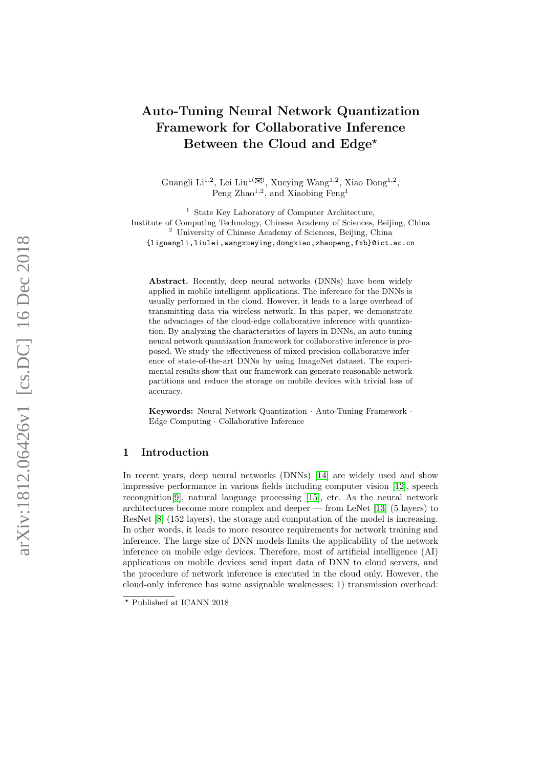# Auto-Tuning Neural Network Quantization Framework for Collaborative Inference Between the Cloud and Edge<sup>\*</sup>

Guangli Li<sup>1,2</sup>, Lei Liu<sup>1( $\boxtimes$ )</sup>, Xueying Wang<sup>1,2</sup>, Xiao Dong<sup>1,2</sup>, Peng Zhao<sup>1,2</sup>, and Xiaobing Feng<sup>1</sup>

<sup>1</sup> State Key Laboratory of Computer Architecture, Institute of Computing Technology, Chinese Academy of Sciences, Beijing, China <sup>2</sup> University of Chinese Academy of Sciences, Beijing, China {liguangli,liulei,wangxueying,dongxiao,zhaopeng,fxb}@ict.ac.cn

Abstract. Recently, deep neural networks (DNNs) have been widely applied in mobile intelligent applications. The inference for the DNNs is usually performed in the cloud. However, it leads to a large overhead of transmitting data via wireless network. In this paper, we demonstrate the advantages of the cloud-edge collaborative inference with quantization. By analyzing the characteristics of layers in DNNs, an auto-tuning neural network quantization framework for collaborative inference is proposed. We study the effectiveness of mixed-precision collaborative inference of state-of-the-art DNNs by using ImageNet dataset. The experimental results show that our framework can generate reasonable network partitions and reduce the storage on mobile devices with trivial loss of accuracy.

Keywords: Neural Network Quantization · Auto-Tuning Framework · Edge Computing · Collaborative Inference

## 1 Introduction

In recent years, deep neural networks (DNNs) [\[14\]](#page-9-0) are widely used and show impressive performance in various fields including computer vision [\[12\]](#page-9-1), speech recongnition[\[9\]](#page-9-2), natural language processing [\[15\]](#page-9-3), etc. As the neural network architectures become more complex and deeper — from LeNet [\[13\]](#page-9-4) (5 layers) to ResNet [\[8\]](#page-9-5) (152 layers), the storage and computation of the model is increasing. In other words, it leads to more resource requirements for network training and inference. The large size of DNN models limits the applicability of the network inference on mobile edge devices. Therefore, most of artificial intelligence (AI) applications on mobile devices send input data of DNN to cloud servers, and the procedure of network inference is executed in the cloud only. However, the cloud-only inference has some assignable weaknesses: 1) transmission overhead:

 $^\star$  Published at ICANN 2018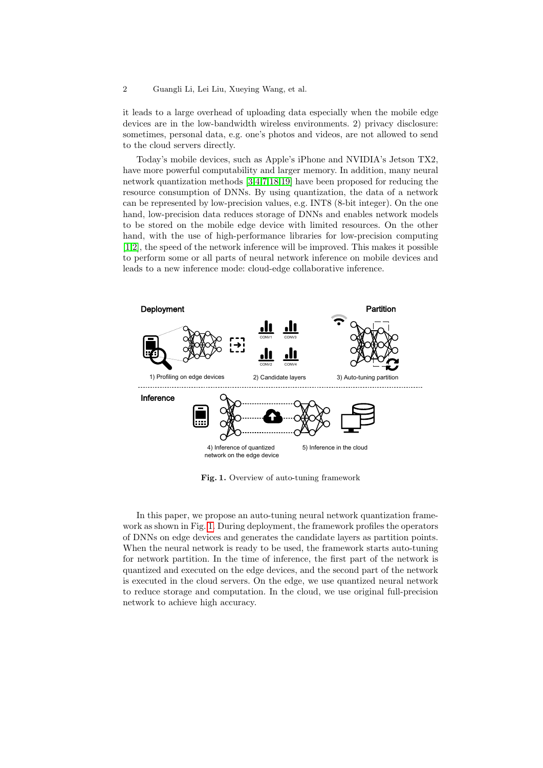it leads to a large overhead of uploading data especially when the mobile edge devices are in the low-bandwidth wireless environments. 2) privacy disclosure: sometimes, personal data, e.g. one's photos and videos, are not allowed to send to the cloud servers directly.

Today's mobile devices, such as Apple's iPhone and NVIDIA's Jetson TX2, have more powerful computability and larger memory. In addition, many neural network quantization methods [\[3,](#page-8-0)[4,](#page-8-1)[7,](#page-9-6)[18](#page-9-7)[,19\]](#page-9-8) have been proposed for reducing the resource consumption of DNNs. By using quantization, the data of a network can be represented by low-precision values, e.g. INT8 (8-bit integer). On the one hand, low-precision data reduces storage of DNNs and enables network models to be stored on the mobile edge device with limited resources. On the other hand, with the use of high-performance libraries for low-precision computing [\[1,](#page-8-2)[2\]](#page-8-3), the speed of the network inference will be improved. This makes it possible to perform some or all parts of neural network inference on mobile devices and leads to a new inference mode: cloud-edge collaborative inference.



<span id="page-1-0"></span>Fig. 1. Overview of auto-tuning framework

In this paper, we propose an auto-tuning neural network quantization framework as shown in Fig. [1.](#page-1-0) During deployment, the framework profiles the operators of DNNs on edge devices and generates the candidate layers as partition points. When the neural network is ready to be used, the framework starts auto-tuning for network partition. In the time of inference, the first part of the network is quantized and executed on the edge devices, and the second part of the network is executed in the cloud servers. On the edge, we use quantized neural network to reduce storage and computation. In the cloud, we use original full-precision network to achieve high accuracy.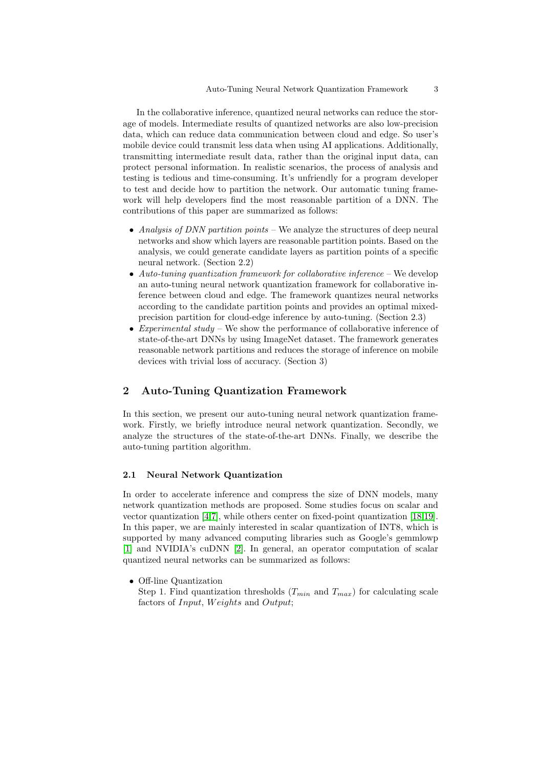In the collaborative inference, quantized neural networks can reduce the storage of models. Intermediate results of quantized networks are also low-precision data, which can reduce data communication between cloud and edge. So user's mobile device could transmit less data when using AI applications. Additionally, transmitting intermediate result data, rather than the original input data, can protect personal information. In realistic scenarios, the process of analysis and testing is tedious and time-consuming. It's unfriendly for a program developer to test and decide how to partition the network. Our automatic tuning framework will help developers find the most reasonable partition of a DNN. The contributions of this paper are summarized as follows:

- Analysis of DNN partition points We analyze the structures of deep neural networks and show which layers are reasonable partition points. Based on the analysis, we could generate candidate layers as partition points of a specific neural network. (Section 2.2)
- Auto-tuning quantization framework for collaborative inference We develop an auto-tuning neural network quantization framework for collaborative inference between cloud and edge. The framework quantizes neural networks according to the candidate partition points and provides an optimal mixedprecision partition for cloud-edge inference by auto-tuning. (Section 2.3)
- Experimental study We show the performance of collaborative inference of state-of-the-art DNNs by using ImageNet dataset. The framework generates reasonable network partitions and reduces the storage of inference on mobile devices with trivial loss of accuracy. (Section 3)

## 2 Auto-Tuning Quantization Framework

In this section, we present our auto-tuning neural network quantization framework. Firstly, we briefly introduce neural network quantization. Secondly, we analyze the structures of the state-of-the-art DNNs. Finally, we describe the auto-tuning partition algorithm.

#### 2.1 Neural Network Quantization

In order to accelerate inference and compress the size of DNN models, many network quantization methods are proposed. Some studies focus on scalar and vector quantization [\[4,](#page-8-1)[7\]](#page-9-6), while others center on fixed-point quantization [\[18,](#page-9-7)[19\]](#page-9-8). In this paper, we are mainly interested in scalar quantization of INT8, which is supported by many advanced computing libraries such as Google's gemmlowp [\[1\]](#page-8-2) and NVIDIA's cuDNN [\[2\]](#page-8-3). In general, an operator computation of scalar quantized neural networks can be summarized as follows:

• Off-line Quantization

Step 1. Find quantization thresholds  $(T_{min}$  and  $T_{max})$  for calculating scale factors of *Input*, *Weights* and *Output*;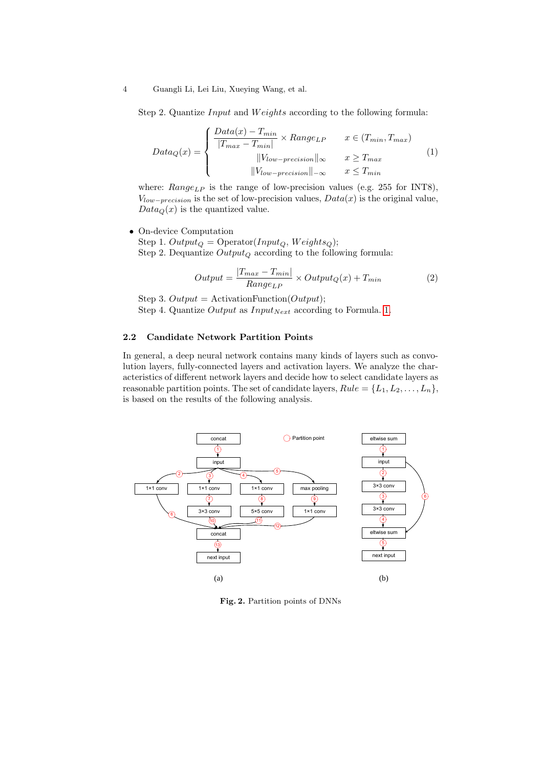#### 4 Guangli Li, Lei Liu, Xueying Wang, et al.

Step 2. Quantize *Input* and *Weights* according to the following formula:

<span id="page-3-0"></span>
$$
Data_Q(x) = \begin{cases} \frac{Data(x) - T_{min}}{|T_{max} - T_{min}|} \times Range_{LP} & x \in (T_{min}, T_{max}) \\ ||V_{low-precision}||_{\infty} & x \ge T_{max} \\ ||V_{low-precision}||_{-\infty} & x \le T_{min} \end{cases}
$$
(1)

where:  $Range_{LP}$  is the range of low-precision values (e.g. 255 for INT8),  $V_{low-precision}$  is the set of low-precision values,  $Data(x)$  is the original value,  $Data_Q(x)$  is the quantized value.

• On-device Computation

Step 1.  $Output_Q = Operator(Input_Q, Weights_Q);$ Step 2. Dequantize  $Output_Q$  according to the following formula:

$$
Output = \frac{|T_{max} - T_{min}|}{Range_{LP}} \times Output_Q(x) + T_{min}
$$
\n(2)

Step 3. Output = ActivationFunction(Output); Step 4. Quantize Output as  $Input_{Next}$  according to Formula. [1.](#page-3-0)

#### 2.2 Candidate Network Partition Points

In general, a deep neural network contains many kinds of layers such as convolution layers, fully-connected layers and activation layers. We analyze the characteristics of different network layers and decide how to select candidate layers as reasonable partition points. The set of candidate layers,  $Rule = \{L_1, L_2, \ldots, L_n\}$ , is based on the results of the following analysis.



<span id="page-3-1"></span>Fig. 2. Partition points of DNNs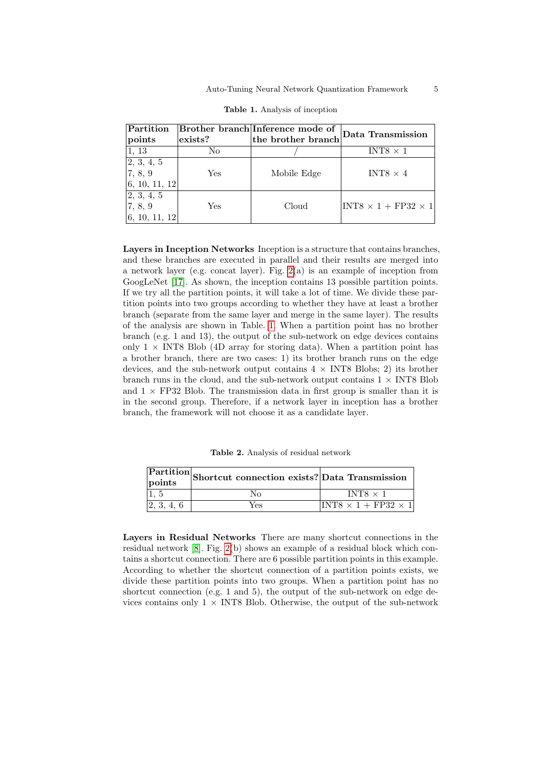| Partition                   |                | Brother branch Inference mode of | Data Transmission               |
|-----------------------------|----------------|----------------------------------|---------------------------------|
| points                      | $\rm lexists?$ | the brother branch               |                                 |
| 1, 13                       | No.            |                                  | $INT8 \times 1$                 |
| 2, 3, 4, 5                  |                |                                  |                                 |
| 7, 8, 9                     | Yes            | Mobile Edge                      | INT8 $\times$ 4                 |
| 6, 10, 11, 12               |                |                                  |                                 |
| 2, 3, 4, 5                  |                |                                  |                                 |
| 7, 8, 9                     | Yes            | Cloud                            | $INT8 \times 1 + FP32 \times 1$ |
| $\vert 6, 10, 11, 12 \vert$ |                |                                  |                                 |

<span id="page-4-0"></span>Table 1. Analysis of inception

Layers in Inception Networks Inception is a structure that contains branches, and these branches are executed in parallel and their results are merged into a network layer (e.g. concat layer). Fig.  $2(a)$  is an example of inception from GoogLeNet [\[17\]](#page-9-9). As shown, the inception contains 13 possible partition points. If we try all the partition points, it will take a lot of time. We divide these partition points into two groups according to whether they have at least a brother branch (separate from the same layer and merge in the same layer). The results of the analysis are shown in Table. [1.](#page-4-0) When a partition point has no brother branch (e.g. 1 and 13), the output of the sub-network on edge devices contains only  $1 \times$  INT8 Blob (4D array for storing data). When a partition point has a brother branch, there are two cases: 1) its brother branch runs on the edge devices, and the sub-network output contains  $4 \times NTS$  Blobs; 2) its brother branch runs in the cloud, and the sub-network output contains  $1 \times \text{INT8}$  Blob and  $1 \times$  FP32 Blob. The transmission data in first group is smaller than it is in the second group. Therefore, if a network layer in inception has a brother branch, the framework will not choose it as a candidate layer.

<span id="page-4-1"></span>Table 2. Analysis of residual network

| points     | $\overline{\text{Partition}}\text{_{\text{Shortcut}}\text{ connection exists?}}\text{[Data Transmission}$ |                                   |
|------------|-----------------------------------------------------------------------------------------------------------|-----------------------------------|
|            | Nο                                                                                                        | INTS $\times$ 1                   |
| 2, 3, 4, 6 | Yes                                                                                                       | $ INT8 \times 1 + FP32 \times 1 $ |

Layers in Residual Networks There are many shortcut connections in the residual network [\[8\]](#page-9-5). Fig. [2\(](#page-3-1)b) shows an example of a residual block which contains a shortcut connection. There are 6 possible partition points in this example. According to whether the shortcut connection of a partition points exists, we divide these partition points into two groups. When a partition point has no shortcut connection (e.g. 1 and 5), the output of the sub-network on edge devices contains only  $1 \times$  INT8 Blob. Otherwise, the output of the sub-network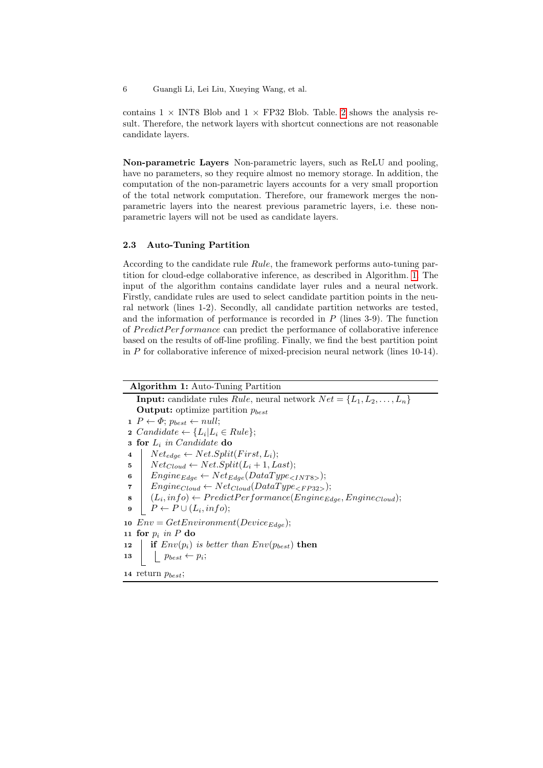6 Guangli Li, Lei Liu, Xueying Wang, et al.

contains  $1 \times$  INT8 Blob and  $1 \times$  FP32 Blob. Table. [2](#page-4-1) shows the analysis result. Therefore, the network layers with shortcut connections are not reasonable candidate layers.

Non-parametric Layers Non-parametric layers, such as ReLU and pooling, have no parameters, so they require almost no memory storage. In addition, the computation of the non-parametric layers accounts for a very small proportion of the total network computation. Therefore, our framework merges the nonparametric layers into the nearest previous parametric layers, i.e. these nonparametric layers will not be used as candidate layers.

#### 2.3 Auto-Tuning Partition

According to the candidate rule Rule, the framework performs auto-tuning partition for cloud-edge collaborative inference, as described in Algorithm. [1.](#page-5-0) The input of the algorithm contains candidate layer rules and a neural network. Firstly, candidate rules are used to select candidate partition points in the neural network (lines 1-2). Secondly, all candidate partition networks are tested, and the information of performance is recorded in  $P$  (lines 3-9). The function of PredictPerformance can predict the performance of collaborative inference based on the results of off-line profiling. Finally, we find the best partition point in P for collaborative inference of mixed-precision neural network (lines 10-14).

<span id="page-5-0"></span>

| <b>Algorithm 1:</b> Auto-Tuning Partition                                             |  |  |  |  |  |
|---------------------------------------------------------------------------------------|--|--|--|--|--|
| <b>Input:</b> candidate rules Rule, neural network $Net = \{L_1, L_2, \ldots, L_n\}$  |  |  |  |  |  |
| <b>Output:</b> optimize partition $p_{best}$                                          |  |  |  |  |  |
| $1\;\;P \leftarrow \Phi; \; p_{best} \leftarrow null;$                                |  |  |  |  |  |
| 2 Candidate $\leftarrow \{L_i   L_i \in Rule\};$                                      |  |  |  |  |  |
| <b>3 for</b> $L_i$ in Candidate do                                                    |  |  |  |  |  |
| $Net_{edge} \leftarrow Net.Split(First, L_i);$<br>$\overline{\mathbf{4}}$             |  |  |  |  |  |
| $Net_{Cloud} \leftarrow Net.Split(L_i + 1, Last);$<br>5                               |  |  |  |  |  |
| $Engineering_{Edge} \leftarrow Net_{Edge}(DataType_{});$<br>6                         |  |  |  |  |  |
| $Engineering_{Cloud} \leftarrow Net_{Cloud}(DataType_{\leq FP32>});$<br>7             |  |  |  |  |  |
| $(L_i, info) \leftarrow PredictPerformance(Engineering_{Edge}, Engine_{Cloud});$<br>8 |  |  |  |  |  |
| $P \leftarrow P \cup (L_i, info);$<br>9                                               |  |  |  |  |  |
| 10 $Env = GetEnvironment(Device_{Edge});$                                             |  |  |  |  |  |
| 11 for $p_i$ in P do                                                                  |  |  |  |  |  |
| if $Env(p_i)$ is better than $Env(p_{best})$ then<br>12                               |  |  |  |  |  |
| $\left\lfloor\right. p_{best} \leftarrow p_i;$<br>13                                  |  |  |  |  |  |
| 14 return $p_{best}$ ;                                                                |  |  |  |  |  |
|                                                                                       |  |  |  |  |  |
|                                                                                       |  |  |  |  |  |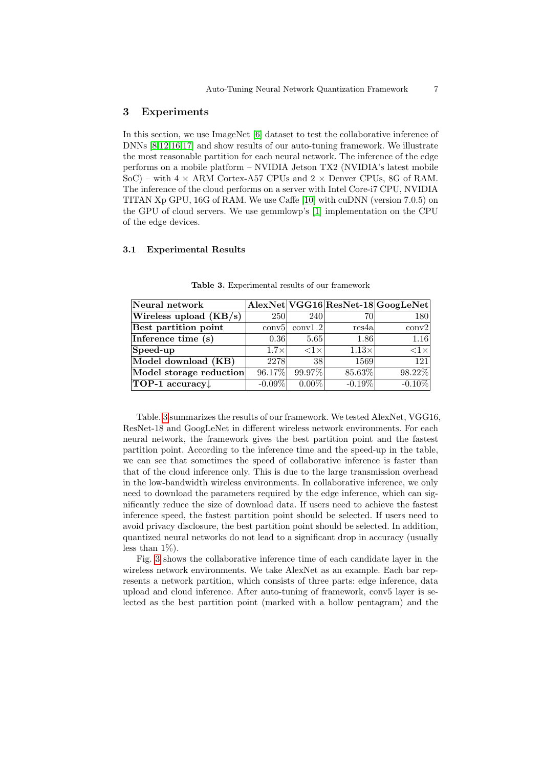#### 3 Experiments

In this section, we use ImageNet [\[6\]](#page-9-10) dataset to test the collaborative inference of DNNs [\[8,](#page-9-5)[12,](#page-9-1)[16](#page-9-11)[,17\]](#page-9-9) and show results of our auto-tuning framework. We illustrate the most reasonable partition for each neural network. The inference of the edge performs on a mobile platform – NVIDIA Jetson TX2 (NVIDIA's latest mobile SoC) – with  $4 \times$  ARM Cortex-A57 CPUs and  $2 \times$  Denver CPUs, 8G of RAM. The inference of the cloud performs on a server with Intel Core-i7 CPU, NVIDIA TITAN Xp GPU, 16G of RAM. We use Caffe [\[10\]](#page-9-12) with cuDNN (version 7.0.5) on the GPU of cloud servers. We use gemmlowp's [\[1\]](#page-8-2) implementation on the CPU of the edge devices.

#### 3.1 Experimental Results

| Neural network                      |             |                    |              | AlexNet VGG16 ResNet-18 GoogLeNet |
|-------------------------------------|-------------|--------------------|--------------|-----------------------------------|
| Wireless upload $(\overline{KB/s})$ | <b>250</b>  | <b>240</b>         | 70           | 180                               |
| Best partition point                | conv5       | conv1.2            | res4a        | $\text{conv2}$                    |
| Inference time (s)                  | 0.36        | 5.65               | 1.86         | 1.16                              |
| $\sqrt{\text{Speed-up}}$            | $1.7\times$ | $\langle 1 \times$ | $1.13\times$ | $\langle 1 \times$                |
| Model download (KB)                 | 2278        | 38                 | 1569         | 121                               |
| Model storage reduction             | 96.17%      | 99.97%             | 85.63%       | 98.22%                            |
| TOP-1 accuracy.                     | $-0.09\%$   | $0.00\%$           | $-0.19\%$    | $-0.10\%$                         |

<span id="page-6-0"></span>Table 3. Experimental results of our framework

Table. [3](#page-6-0) summarizes the results of our framework. We tested AlexNet, VGG16, ResNet-18 and GoogLeNet in different wireless network environments. For each neural network, the framework gives the best partition point and the fastest partition point. According to the inference time and the speed-up in the table, we can see that sometimes the speed of collaborative inference is faster than that of the cloud inference only. This is due to the large transmission overhead in the low-bandwidth wireless environments. In collaborative inference, we only need to download the parameters required by the edge inference, which can significantly reduce the size of download data. If users need to achieve the fastest inference speed, the fastest partition point should be selected. If users need to avoid privacy disclosure, the best partition point should be selected. In addition, quantized neural networks do not lead to a significant drop in accuracy (usually less than  $1\%$ ).

Fig. [3](#page-7-0) shows the collaborative inference time of each candidate layer in the wireless network environments. We take AlexNet as an example. Each bar represents a network partition, which consists of three parts: edge inference, data upload and cloud inference. After auto-tuning of framework, conv5 layer is selected as the best partition point (marked with a hollow pentagram) and the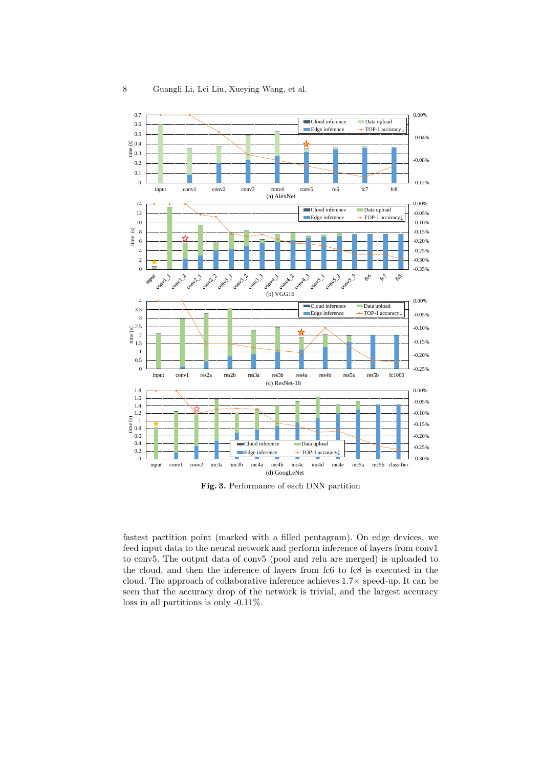

<span id="page-7-0"></span>Fig. 3. Performance of each DNN partition

fastest partition point (marked with a filled pentagram). On edge devices, we feed input data to the neural network and perform inference of layers from conv1 to conv5. The output data of conv5 (pool and relu are merged) is uploaded to the cloud, and then the inference of layers from fc6 to fc8 is executed in the cloud. The approach of collaborative inference achieves 1.7× speed-up. It can be seen that the accuracy drop of the network is trivial, and the largest accuracy loss in all partitions is only -0.11%.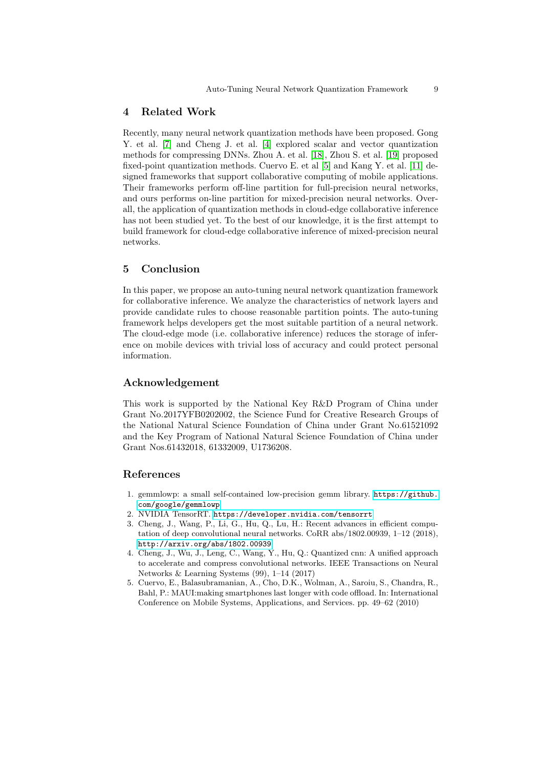### 4 Related Work

Recently, many neural network quantization methods have been proposed. Gong Y. et al. [\[7\]](#page-9-6) and Cheng J. et al. [\[4\]](#page-8-1) explored scalar and vector quantization methods for compressing DNNs. Zhou A. et al. [\[18\]](#page-9-7), Zhou S. et al. [\[19\]](#page-9-8) proposed fixed-point quantization methods. Cuervo E. et al [\[5\]](#page-8-4) and Kang Y. et al. [\[11\]](#page-9-13) designed frameworks that support collaborative computing of mobile applications. Their frameworks perform off-line partition for full-precision neural networks, and ours performs on-line partition for mixed-precision neural networks. Overall, the application of quantization methods in cloud-edge collaborative inference has not been studied yet. To the best of our knowledge, it is the first attempt to build framework for cloud-edge collaborative inference of mixed-precision neural networks.

# 5 Conclusion

In this paper, we propose an auto-tuning neural network quantization framework for collaborative inference. We analyze the characteristics of network layers and provide candidate rules to choose reasonable partition points. The auto-tuning framework helps developers get the most suitable partition of a neural network. The cloud-edge mode (i.e. collaborative inference) reduces the storage of inference on mobile devices with trivial loss of accuracy and could protect personal information.

## Acknowledgement

This work is supported by the National Key R&D Program of China under Grant No.2017YFB0202002, the Science Fund for Creative Research Groups of the National Natural Science Foundation of China under Grant No.61521092 and the Key Program of National Natural Science Foundation of China under Grant Nos.61432018, 61332009, U1736208.

## References

- <span id="page-8-2"></span>1. gemmlowp: a small self-contained low-precision gemm library. [https://github.](https://github.com/google/gemmlowp) [com/google/gemmlowp](https://github.com/google/gemmlowp)
- <span id="page-8-3"></span>2. NVIDIA TensorRT. <https://developer.nvidia.com/tensorrt>
- <span id="page-8-0"></span>3. Cheng, J., Wang, P., Li, G., Hu, Q., Lu, H.: Recent advances in efficient computation of deep convolutional neural networks. CoRR abs/1802.00939, 1–12 (2018), <http://arxiv.org/abs/1802.00939>
- <span id="page-8-1"></span>4. Cheng, J., Wu, J., Leng, C., Wang, Y., Hu, Q.: Quantized cnn: A unified approach to accelerate and compress convolutional networks. IEEE Transactions on Neural Networks & Learning Systems (99), 1–14 (2017)
- <span id="page-8-4"></span>5. Cuervo, E., Balasubramanian, A., Cho, D.K., Wolman, A., Saroiu, S., Chandra, R., Bahl, P.: MAUI:making smartphones last longer with code offload. In: International Conference on Mobile Systems, Applications, and Services. pp. 49–62 (2010)